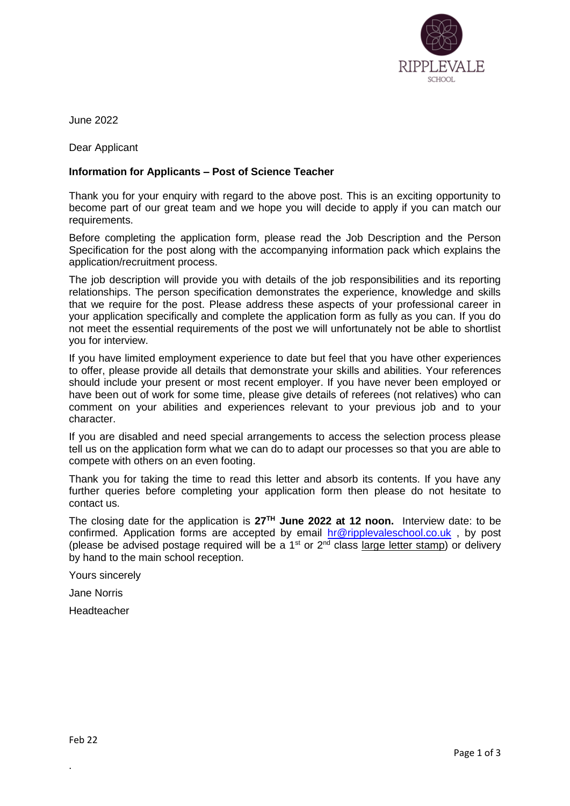

June 2022

Dear Applicant

# **Information for Applicants – Post of Science Teacher**

Thank you for your enquiry with regard to the above post. This is an exciting opportunity to become part of our great team and we hope you will decide to apply if you can match our requirements.

Before completing the application form, please read the Job Description and the Person Specification for the post along with the accompanying information pack which explains the application/recruitment process.

The job description will provide you with details of the job responsibilities and its reporting relationships. The person specification demonstrates the experience, knowledge and skills that we require for the post. Please address these aspects of your professional career in your application specifically and complete the application form as fully as you can. If you do not meet the essential requirements of the post we will unfortunately not be able to shortlist you for interview.

If you have limited employment experience to date but feel that you have other experiences to offer, please provide all details that demonstrate your skills and abilities. Your references should include your present or most recent employer. If you have never been employed or have been out of work for some time, please give details of referees (not relatives) who can comment on your abilities and experiences relevant to your previous job and to your character.

If you are disabled and need special arrangements to access the selection process please tell us on the application form what we can do to adapt our processes so that you are able to compete with others on an even footing.

Thank you for taking the time to read this letter and absorb its contents. If you have any further queries before completing your application form then please do not hesitate to contact us.

The closing date for the application is **27TH June 2022 at 12 noon.** Interview date: to be confirmed. Application forms are accepted by email [hr@ripplevaleschool.co.uk](mailto:hr@ripplevaleschool.co.uk) , by post (please be advised postage required will be a  $1<sup>st</sup>$  or  $2<sup>nd</sup>$  class large letter stamp) or delivery by hand to the main school reception.

Yours sincerely

Jane Norris

Headteacher

.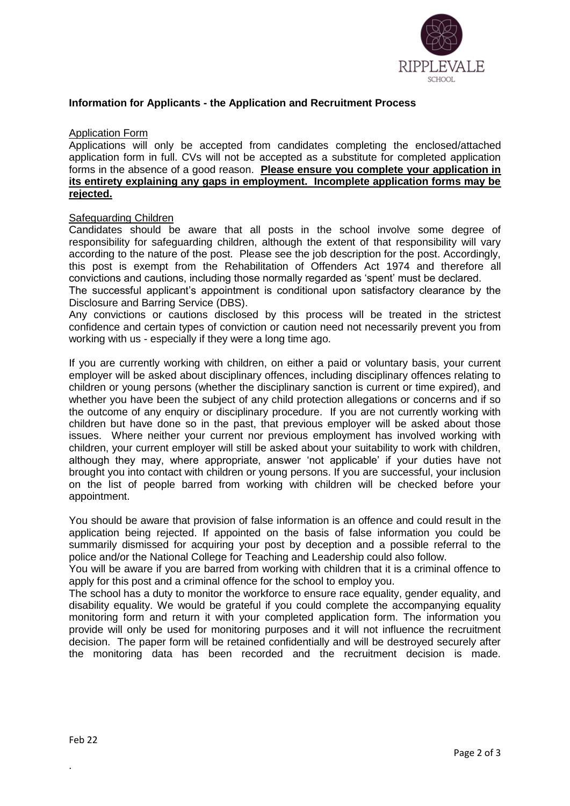

### **Information for Applicants - the Application and Recruitment Process**

#### Application Form

Applications will only be accepted from candidates completing the enclosed/attached application form in full. CVs will not be accepted as a substitute for completed application forms in the absence of a good reason. **Please ensure you complete your application in its entirety explaining any gaps in employment. Incomplete application forms may be rejected.** 

# Safeguarding Children

Candidates should be aware that all posts in the school involve some degree of responsibility for safeguarding children, although the extent of that responsibility will vary according to the nature of the post. Please see the job description for the post. Accordingly, this post is exempt from the Rehabilitation of Offenders Act 1974 and therefore all convictions and cautions, including those normally regarded as 'spent' must be declared.

The successful applicant's appointment is conditional upon satisfactory clearance by the Disclosure and Barring Service (DBS).

Any convictions or cautions disclosed by this process will be treated in the strictest confidence and certain types of conviction or caution need not necessarily prevent you from working with us - especially if they were a long time ago.

If you are currently working with children, on either a paid or voluntary basis, your current employer will be asked about disciplinary offences, including disciplinary offences relating to children or young persons (whether the disciplinary sanction is current or time expired), and whether you have been the subject of any child protection allegations or concerns and if so the outcome of any enquiry or disciplinary procedure. If you are not currently working with children but have done so in the past, that previous employer will be asked about those issues. Where neither your current nor previous employment has involved working with children, your current employer will still be asked about your suitability to work with children, although they may, where appropriate, answer 'not applicable' if your duties have not brought you into contact with children or young persons. If you are successful, your inclusion on the list of people barred from working with children will be checked before your appointment.

You should be aware that provision of false information is an offence and could result in the application being rejected. If appointed on the basis of false information you could be summarily dismissed for acquiring your post by deception and a possible referral to the police and/or the National College for Teaching and Leadership could also follow.

You will be aware if you are barred from working with children that it is a criminal offence to apply for this post and a criminal offence for the school to employ you.

The school has a duty to monitor the workforce to ensure race equality, gender equality, and disability equality. We would be grateful if you could complete the accompanying equality monitoring form and return it with your completed application form. The information you provide will only be used for monitoring purposes and it will not influence the recruitment decision. The paper form will be retained confidentially and will be destroyed securely after the monitoring data has been recorded and the recruitment decision is made.

.